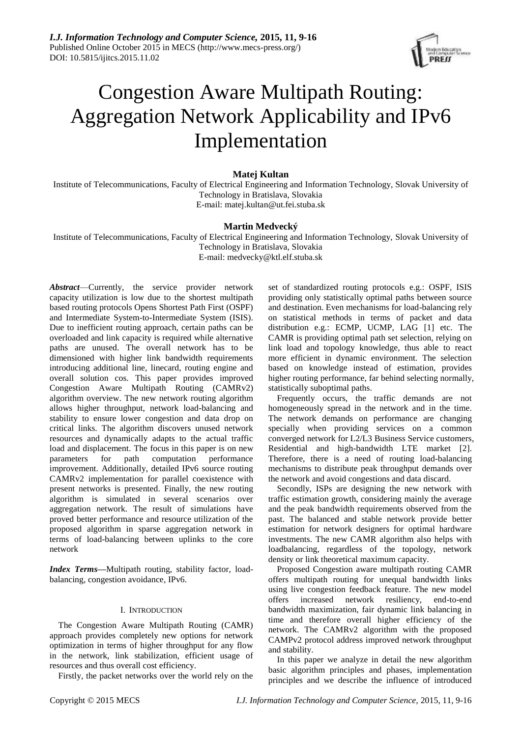

# Congestion Aware Multipath Routing: Aggregation Network Applicability and IPv6 Implementation

# **Matej Kultan**

Institute of Telecommunications, Faculty of Electrical Engineering and Information Technology, Slovak University of Technology in Bratislava, Slovakia E-mail: matej.kultan@ut.fei.stuba.sk

# **Martin Medvecký**

Institute of Telecommunications, Faculty of Electrical Engineering and Information Technology, Slovak University of Technology in Bratislava, Slovakia E-mail: medvecky@ktl.elf.stuba.sk

*Abstract*—Currently, the service provider network capacity utilization is low due to the shortest multipath based routing protocols Opens Shortest Path First (OSPF) and Intermediate System-to-Intermediate System (ISIS). Due to inefficient routing approach, certain paths can be overloaded and link capacity is required while alternative paths are unused. The overall network has to be dimensioned with higher link bandwidth requirements introducing additional line, linecard, routing engine and overall solution cos. This paper provides improved Congestion Aware Multipath Routing (CAMRv2) algorithm overview. The new network routing algorithm allows higher throughput, network load-balancing and stability to ensure lower congestion and data drop on critical links. The algorithm discovers unused network resources and dynamically adapts to the actual traffic load and displacement. The focus in this paper is on new parameters for path computation performance improvement. Additionally, detailed IPv6 source routing CAMRv2 implementation for parallel coexistence with present networks is presented. Finally, the new routing algorithm is simulated in several scenarios over aggregation network. The result of simulations have proved better performance and resource utilization of the proposed algorithm in sparse aggregation network in terms of load-balancing between uplinks to the core network

*Index Terms***—**Multipath routing, stability factor, loadbalancing, congestion avoidance, IPv6.

# I. INTRODUCTION

The Congestion Aware Multipath Routing (CAMR) approach provides completely new options for network optimization in terms of higher throughput for any flow in the network, link stabilization, efficient usage of resources and thus overall cost efficiency.

Firstly, the packet networks over the world rely on the

set of standardized routing protocols e.g.: OSPF, ISIS providing only statistically optimal paths between source and destination. Even mechanisms for load-balancing rely on statistical methods in terms of packet and data distribution e.g.: ECMP, UCMP, LAG [1] etc. The CAMR is providing optimal path set selection, relying on link load and topology knowledge, thus able to react more efficient in dynamic environment. The selection based on knowledge instead of estimation, provides higher routing performance, far behind selecting normally, statistically suboptimal paths.

Frequently occurs, the traffic demands are not homogeneously spread in the network and in the time. The network demands on performance are changing specially when providing services on a common converged network for L2/L3 Business Service customers, Residential and high-bandwidth LTE market [2]. Therefore, there is a need of routing load-balancing mechanisms to distribute peak throughput demands over the network and avoid congestions and data discard.

Secondly, ISPs are designing the new network with traffic estimation growth, considering mainly the average and the peak bandwidth requirements observed from the past. The balanced and stable network provide better estimation for network designers for optimal hardware investments. The new CAMR algorithm also helps with loadbalancing, regardless of the topology, network density or link theoretical maximum capacity.

Proposed Congestion aware multipath routing CAMR offers multipath routing for unequal bandwidth links using live congestion feedback feature. The new model offers increased network resiliency, end-to-end bandwidth maximization, fair dynamic link balancing in time and therefore overall higher efficiency of the network. The CAMRv2 algorithm with the proposed CAMPv2 protocol address improved network throughput and stability.

In this paper we analyze in detail the new algorithm basic algorithm principles and phases, implementation principles and we describe the influence of introduced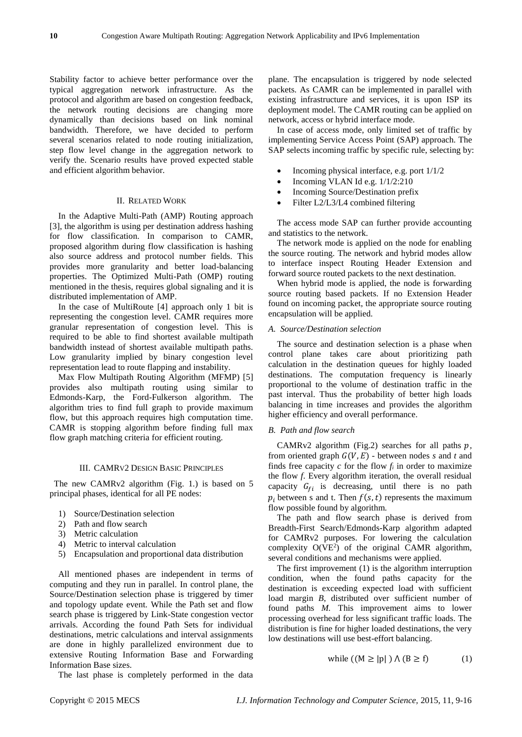Stability factor to achieve better performance over the typical aggregation network infrastructure. As the protocol and algorithm are based on congestion feedback, the network routing decisions are changing more dynamically than decisions based on link nominal bandwidth. Therefore, we have decided to perform several scenarios related to node routing initialization, step flow level change in the aggregation network to verify the. Scenario results have proved expected stable and efficient algorithm behavior.

#### II. RELATED WORK

In the Adaptive Multi-Path (AMP) Routing approach [3], the algorithm is using per destination address hashing for flow classification. In comparison to CAMR, proposed algorithm during flow classification is hashing also source address and protocol number fields. This provides more granularity and better load-balancing properties. The Optimized Multi-Path (OMP) routing mentioned in the thesis, requires global signaling and it is distributed implementation of AMP.

In the case of MultiRoute [4] approach only 1 bit is representing the congestion level. CAMR requires more granular representation of congestion level. This is required to be able to find shortest available multipath bandwidth instead of shortest available multipath paths. Low granularity implied by binary congestion level representation lead to route flapping and instability.

Max Flow Multipath Routing Algorithm (MFMP) [5] provides also multipath routing using similar to Edmonds-Karp, the Ford-Fulkerson algorithm. The algorithm tries to find full graph to provide maximum flow, but this approach requires high computation time. CAMR is stopping algorithm before finding full max flow graph matching criteria for efficient routing.

#### III. CAMRV2 DESIGN BASIC PRINCIPLES

The new CAMRv2 algorithm (Fig. 1.) is based on 5 principal phases, identical for all PE nodes:

- 1) Source/Destination selection
- 2) Path and flow search
- 3) Metric calculation
- 4) Metric to interval calculation
- 5) Encapsulation and proportional data distribution

All mentioned phases are independent in terms of computing and they run in parallel. In control plane, the Source/Destination selection phase is triggered by timer and topology update event. While the Path set and flow search phase is triggered by Link-State congestion vector arrivals. According the found Path Sets for individual destinations, metric calculations and interval assignments are done in highly parallelized environment due to extensive Routing Information Base and Forwarding Information Base sizes.

The last phase is completely performed in the data

plane. The encapsulation is triggered by node selected packets. As CAMR can be implemented in parallel with existing infrastructure and services, it is upon ISP its deployment model. The CAMR routing can be applied on network, access or hybrid interface mode.

In case of access mode, only limited set of traffic by implementing Service Access Point (SAP) approach. The SAP selects incoming traffic by specific rule, selecting by:

- Incoming physical interface, e.g. port 1/1/2
- Incoming VLAN Id e.g. 1/1/2:210
- Incoming Source/Destination prefix
- Filter L2/L3/L4 combined filtering

The access mode SAP can further provide accounting and statistics to the network.

The network mode is applied on the node for enabling the source routing. The network and hybrid modes allow to interface inspect Routing Header Extension and forward source routed packets to the next destination.

When hybrid mode is applied, the node is forwarding source routing based packets. If no Extension Header found on incoming packet, the appropriate source routing encapsulation will be applied.

# *A. Source/Destination selection*

The source and destination selection is a phase when control plane takes care about prioritizing path calculation in the destination queues for highly loaded destinations. The computation frequency is linearly proportional to the volume of destination traffic in the past interval. Thus the probability of better high loads balancing in time increases and provides the algorithm higher efficiency and overall performance.

# *B. Path and flow search*

CAMRv2 algorithm (Fig.2) searches for all paths  $p$ , from oriented graph  $G(V, E)$  - between nodes *s* and *t* and finds free capacity  $c$  for the flow  $f_i$  in order to maximize the flow *f*. Every algorithm iteration, the overall residual capacity  $G_{fi}$  is decreasing, until there is no path  $p_i$  between s and t. Then  $f(s, t)$  represents the maximum flow possible found by algorithm.

The path and flow search phase is derived from Breadth-First Search/Edmonds-Karp algorithm adapted for CAMRv2 purposes. For lowering the calculation complexity  $O(VE^2)$  of the original CAMR algorithm, several conditions and mechanisms were applied.

The first improvement (1) is the algorithm interruption condition, when the found paths capacity for the destination is exceeding expected load with sufficient load margin *B*, distributed over sufficient number of found paths *M.* This improvement aims to lower processing overhead for less significant traffic loads. The distribution is fine for higher loaded destinations, the very low destinations will use best-effort balancing.

$$
while ((M \ge |p|) \land (B \ge f) \tag{1}
$$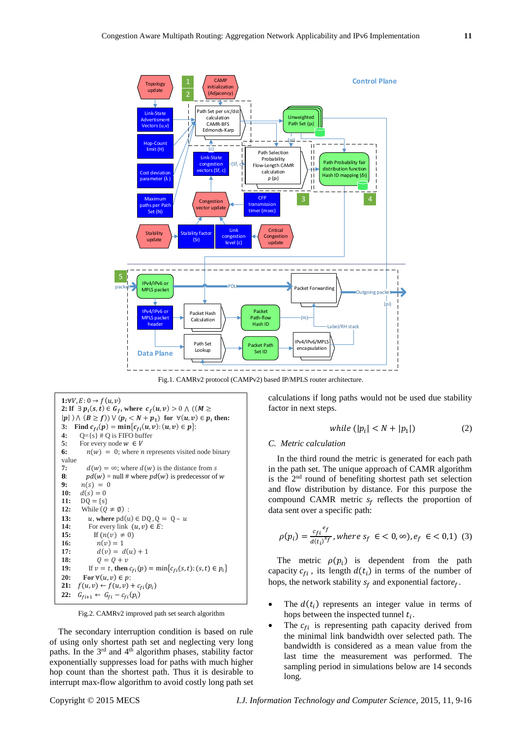

Fig.1. CAMRv2 protocol (CAMPv2) based IP/MPLS router architecture.



Fig.2. CAMRv2 improved path set search algorithm

The secondary interruption condition is based on rule of using only shortest path set and neglecting very long paths. In the  $3<sup>rd</sup>$  and  $4<sup>th</sup>$  algorithm phases, stability factor exponentially suppresses load for paths with much higher hop count than the shortest path. Thus it is desirable to interrupt max-flow algorithm to avoid costly long path set calculations if long paths would not be used due stability factor in next steps.

$$
while (|p_i| < N + |p_1|) \tag{2}
$$

#### *C. Metric calculation*

In the third round the metric is generated for each path in the path set. The unique approach of CAMR algorithm is the 2nd round of benefiting shortest path set selection and flow distribution by distance. For this purpose the compound CAMR metric  $s_f$  reflects the proportion of data sent over a specific path:

$$
\rho(p_i) = \frac{c_{fi}^{ef}}{d(t_i)^{sf}}, where s_f \in \lt 0, \infty), e_f \in \lt 0, 1) \tag{3}
$$

The metric  $\rho(p_i)$  is dependent from the path capacity  $c_{fi}$ , its length  $d(t_i)$  in terms of the number of hops, the network stability  $s_f$  and exponential factor $e_f$ .

- The  $d(t_i)$  represents an integer value in terms of hops between the inspected tunnel  $t_i$ .
- The  $c_{fi}$  is representing path capacity derived from the minimal link bandwidth over selected path. The bandwidth is considered as a mean value from the last time the measurement was performed. The sampling period in simulations below are 14 seconds long.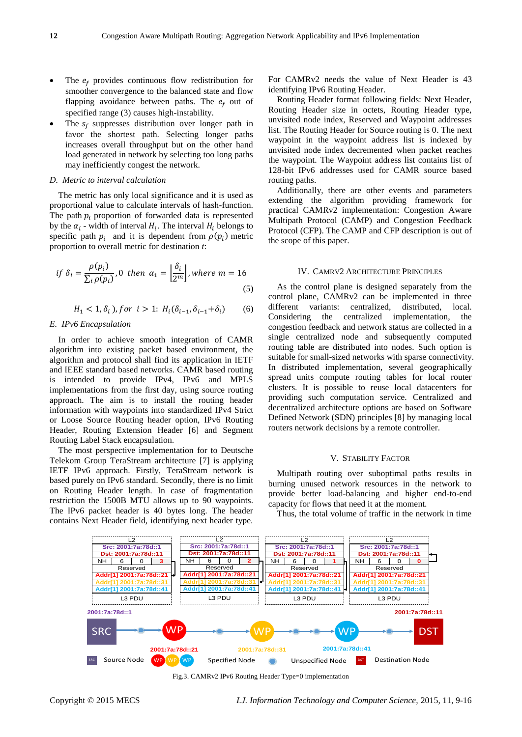- The  $e_f$  provides continuous flow redistribution for smoother convergence to the balanced state and flow flapping avoidance between paths. The  $e_f$  out of specified range (3) causes high-instability.
- The  $s_f$  suppresses distribution over longer path in favor the shortest path. Selecting longer paths increases overall throughput but on the other hand load generated in network by selecting too long paths may inefficiently congest the network.

# *D. Metric to interval calculation*

The metric has only local significance and it is used as proportional value to calculate intervals of hash-function. The path  $p_i$  proportion of forwarded data is represented by the  $\alpha_i$  - width of interval  $H_i$ . The interval  $H_i$  belongs to specific path  $p_i$  and it is dependent from  $\rho(p_i)$  metric proportion to overall metric for destination *t*:

$$
if \delta_i = \frac{\rho(p_i)}{\sum_i \rho(p_i)}, 0 \text{ then } \alpha_1 = \left\lfloor \frac{\delta_i}{2^m} \right\rfloor, where \ m = 16 \tag{5}
$$

$$
H_1 < 1, \delta_i \text{), for } i > 1; H_i(\delta_{i-1}, \delta_{i-1} + \delta_i) \tag{6}
$$

#### *E. IPv6 Encapsulation*

In order to achieve smooth integration of CAMR algorithm into existing packet based environment, the algorithm and protocol shall find its application in IETF and IEEE standard based networks. CAMR based routing is intended to provide IPv4, IPv6 and MPLS implementations from the first day, using source routing approach. The aim is to install the routing header information with waypoints into standardized IPv4 Strict or Loose Source Routing header option, IPv6 Routing Header, Routing Extension Header [6] and Segment Routing Label Stack encapsulation.

The most perspective implementation for to Deutsche Telekom Group TeraStream architecture [7] is applying IETF IPv6 approach. Firstly, TeraStream network is based purely on IPv6 standard. Secondly, there is no limit on Routing Header length. In case of fragmentation restriction the 1500B MTU allows up to 90 waypoints. The IPv6 packet header is 40 bytes long. The header contains Next Header field, identifying next header type.

For CAMRv2 needs the value of Next Header is 43 identifying IPv6 Routing Header.

Routing Header format following fields: Next Header, Routing Header size in octets, Routing Header type, unvisited node index, Reserved and Waypoint addresses list. The Routing Header for Source routing is 0. The next waypoint in the waypoint address list is indexed by unvisited node index decremented when packet reaches the waypoint. The Waypoint address list contains list of 128-bit IPv6 addresses used for CAMR source based routing paths.

Additionally, there are other events and parameters extending the algorithm providing framework for practical CAMRv2 implementation: Congestion Aware Multipath Protocol (CAMP) and Congestion Feedback Protocol (CFP). The CAMP and CFP description is out of the scope of this paper.

# IV. CAMRV2 ARCHITECTURE PRINCIPLES

As the control plane is designed separately from the control plane, CAMRv2 can be implemented in three different variants: centralized, distributed, local. Considering the centralized implementation, the congestion feedback and network status are collected in a single centralized node and subsequently computed routing table are distributed into nodes. Such option is suitable for small-sized networks with sparse connectivity. In distributed implementation, several geographically spread units compute routing tables for local router clusters. It is possible to reuse local datacenters for providing such computation service. Centralized and decentralized architecture options are based on Software Defined Network (SDN) principles [8] by managing local routers network decisions by a remote controller.

#### V. STABILITY FACTOR

Multipath routing over suboptimal paths results in burning unused network resources in the network to provide better load-balancing and higher end-to-end capacity for flows that need it at the moment.

Thus, the total volume of traffic in the network in time



Fig.3. CAMRv2 IPv6 Routing Header Type=0 implementation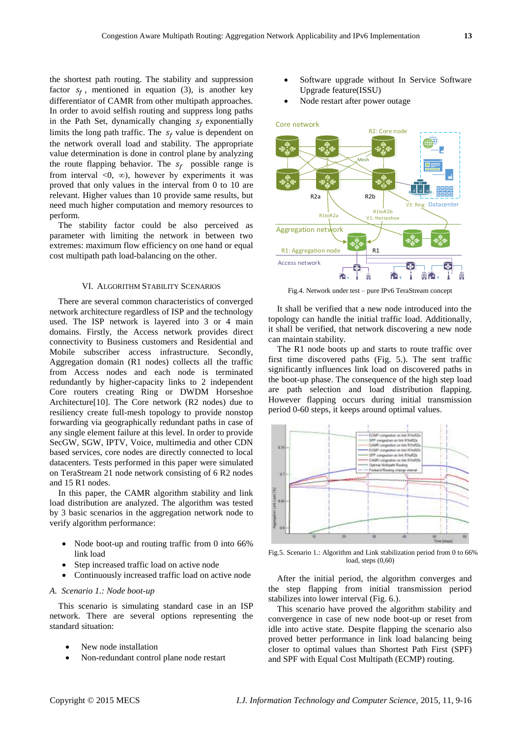the shortest path routing. The stability and suppression factor  $s_f$ , mentioned in equation (3), is another key differentiator of CAMR from other multipath approaches. In order to avoid selfish routing and suppress long paths in the Path Set, dynamically changing  $s_f$  exponentially limits the long path traffic. The  $s_f$  value is dependent on the network overall load and stability. The appropriate value determination is done in control plane by analyzing the route flapping behavior. The  $s_f$  possible range is from interval <0,  $\infty$ ), however by experiments it was proved that only values in the interval from 0 to 10 are relevant. Higher values than 10 provide same results, but need much higher computation and memory resources to perform.

The stability factor could be also perceived as parameter with limiting the network in between two extremes: maximum flow efficiency on one hand or equal cost multipath path load-balancing on the other.

# VI. ALGORITHM STABILITY SCENARIOS

There are several common characteristics of converged network architecture regardless of ISP and the technology used. The ISP network is layered into 3 or 4 main domains. Firstly, the Access network provides direct connectivity to Business customers and Residential and Mobile subscriber access infrastructure. Secondly, Aggregation domain (R1 nodes) collects all the traffic from Access nodes and each node is terminated redundantly by higher-capacity links to 2 independent Core routers creating Ring or DWDM Horseshoe Architecture[10]. The Core network (R2 nodes) due to resiliency create full-mesh topology to provide nonstop forwarding via geographically redundant paths in case of any single element failure at this level. In order to provide SecGW, SGW, IPTV, Voice, multimedia and other CDN based services, core nodes are directly connected to local datacenters. Tests performed in this paper were simulated on TeraStream 21 node network consisting of 6 R2 nodes and 15 R1 nodes.

In this paper, the CAMR algorithm stability and link load distribution are analyzed. The algorithm was tested by 3 basic scenarios in the aggregation network node to verify algorithm performance:

- Node boot-up and routing traffic from 0 into 66% link load
- Step increased traffic load on active node
- Continuously increased traffic load on active node

# *A. Scenario 1.: Node boot-up*

This scenario is simulating standard case in an ISP network. There are several options representing the standard situation:

- New node installation
- Non-redundant control plane node restart
- Software upgrade without In Service Software Upgrade feature(ISSU)
- Node restart after power outage



Fig.4. Network under test – pure IPv6 TeraStream concept

It shall be verified that a new node introduced into the topology can handle the initial traffic load. Additionally, it shall be verified, that network discovering a new node can maintain stability.

The R1 node boots up and starts to route traffic over first time discovered paths (Fig. 5.). The sent traffic significantly influences link load on discovered paths in the boot-up phase. The consequence of the high step load are path selection and load distribution flapping. However flapping occurs during initial transmission period 0-60 steps, it keeps around optimal values.



Fig.5. Scenario 1.: Algorithm and Link stabilization period from 0 to 66% load, steps (0,60)

After the initial period, the algorithm converges and the step flapping from initial transmission period stabilizes into lower interval (Fig. 6.).

This scenario have proved the algorithm stability and convergence in case of new node boot-up or reset from idle into active state. Despite flapping the scenario also proved better performance in link load balancing being closer to optimal values than Shortest Path First (SPF) and SPF with Equal Cost Multipath (ECMP) routing.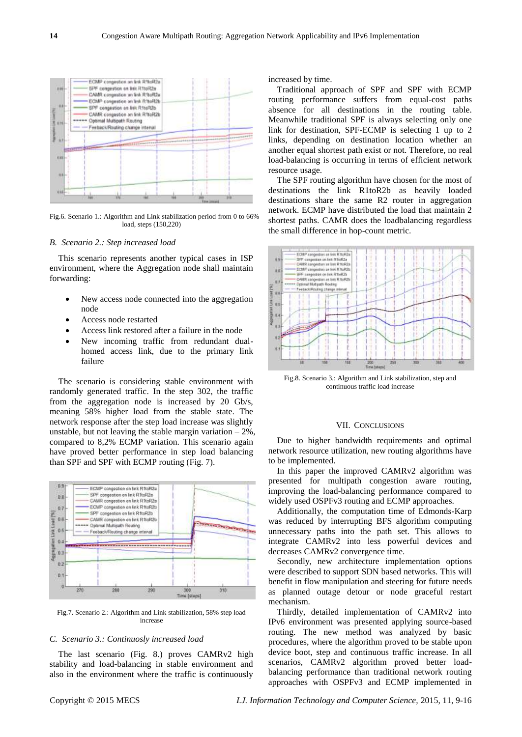

Fig.6. Scenario 1.: Algorithm and Link stabilization period from 0 to 66% load, steps (150,220)

#### *B. Scenario 2.: Step increased load*

This scenario represents another typical cases in ISP environment, where the Aggregation node shall maintain forwarding:

- New access node connected into the aggregation node
- Access node restarted
- Access link restored after a failure in the node
- New incoming traffic from redundant dualhomed access link, due to the primary link failure

The scenario is considering stable environment with randomly generated traffic. In the step 302, the traffic from the aggregation node is increased by 20 Gb/s, meaning 58% higher load from the stable state. The network response after the step load increase was slightly unstable, but not leaving the stable margin variation  $-2\%$ , compared to 8,2% ECMP variation. This scenario again have proved better performance in step load balancing than SPF and SPF with ECMP routing (Fig. 7).



Fig.7. Scenario 2.: Algorithm and Link stabilization, 58% step load increase

# *C. Scenario 3.: Continuosly increased load*

The last scenario (Fig. 8.) proves CAMRv2 high stability and load-balancing in stable environment and also in the environment where the traffic is continuously

increased by time.

Traditional approach of SPF and SPF with ECMP routing performance suffers from equal-cost paths absence for all destinations in the routing table. Meanwhile traditional SPF is always selecting only one link for destination, SPF-ECMP is selecting 1 up to 2 links, depending on destination location whether an another equal shortest path exist or not. Therefore, no real load-balancing is occurring in terms of efficient network resource usage.

The SPF routing algorithm have chosen for the most of destinations the link R1toR2b as heavily loaded destinations share the same R2 router in aggregation network. ECMP have distributed the load that maintain 2 shortest paths. CAMR does the loadbalancing regardless the small difference in hop-count metric.



Fig.8. Scenario 3.: Algorithm and Link stabilization, step and continuous traffic load increase

# VII. CONCLUSIONS

Due to higher bandwidth requirements and optimal network resource utilization, new routing algorithms have to be implemented.

In this paper the improved CAMRv2 algorithm was presented for multipath congestion aware routing, improving the load-balancing performance compared to widely used OSPFv3 routing and ECMP approaches.

Additionally, the computation time of Edmonds-Karp was reduced by interrupting BFS algorithm computing unnecessary paths into the path set. This allows to integrate CAMRv2 into less powerful devices and decreases CAMRv2 convergence time.

Secondly, new architecture implementation options were described to support SDN based networks. This will benefit in flow manipulation and steering for future needs as planned outage detour or node graceful restart mechanism.

Thirdly, detailed implementation of CAMRv2 into IPv6 environment was presented applying source-based routing. The new method was analyzed by basic procedures, where the algorithm proved to be stable upon device boot, step and continuous traffic increase. In all scenarios, CAMRv2 algorithm proved better loadbalancing performance than traditional network routing approaches with OSPFv3 and ECMP implemented in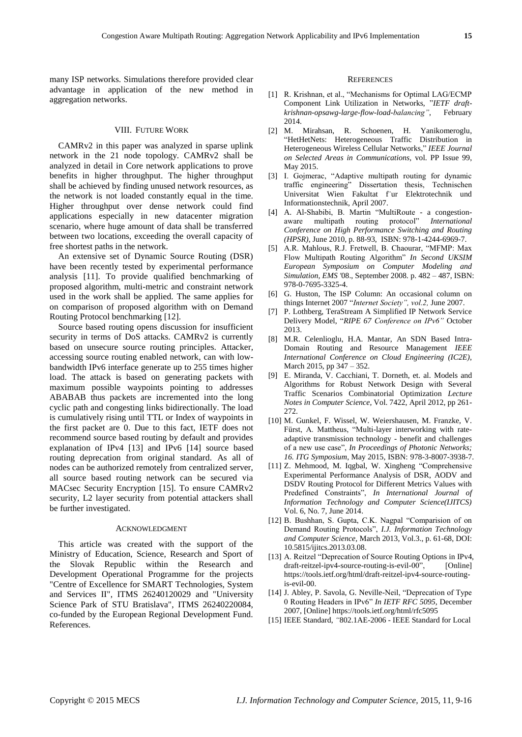many ISP networks. Simulations therefore provided clear advantage in application of the new method in aggregation networks.

#### VIII. FUTURE WORK

CAMRv2 in this paper was analyzed in sparse uplink network in the 21 node topology. CAMRv2 shall be analyzed in detail in Core network applications to prove benefits in higher throughput. The higher throughput shall be achieved by finding unused network resources, as the network is not loaded constantly equal in the time. Higher throughput over dense network could find applications especially in new datacenter migration scenario, where huge amount of data shall be transferred between two locations, exceeding the overall capacity of free shortest paths in the network.

An extensive set of Dynamic Source Routing (DSR) have been recently tested by experimental performance analysis [11]. To provide qualified benchmarking of proposed algorithm, multi-metric and constraint network used in the work shall be applied. The same applies for on comparison of proposed algorithm with on Demand Routing Protocol benchmarking [12].

Source based routing opens discussion for insufficient security in terms of DoS attacks. CAMRv2 is currently based on unsecure source routing principles. Attacker, accessing source routing enabled network, can with lowbandwidth IPv6 interface generate up to 255 times higher load. The attack is based on generating packets with maximum possible waypoints pointing to addresses ABABAB thus packets are incremented into the long cyclic path and congesting links bidirectionally. The load is cumulatively rising until TTL or Index of waypoints in the first packet are 0. Due to this fact, IETF does not recommend source based routing by default and provides explanation of IPv4 [13] and IPv6 [14] source based routing deprecation from original standard. As all of nodes can be authorized remotely from centralized server, all source based routing network can be secured via MACsec Security Encryption [15]. To ensure CAMRv2 security, L2 layer security from potential attackers shall be further investigated.

#### ACKNOWLEDGMENT

This article was created with the support of the Ministry of Education, Science, Research and Sport of the Slovak Republic within the Research and Development Operational Programme for the projects "Centre of Excellence for SMART Technologies, System and Services II", ITMS 26240120029 and "University Science Park of STU Bratislava", ITMS 26240220084, co-funded by the European Regional Development Fund. References.

#### **REFERENCES**

- [1] R. Krishnan, et al., "Mechanisms for Optimal LAG/ECMP Component Link Utilization in Networks, "*IETF draftkrishnan-opsawg-large-flow-load-balancing"*, February 2014.
- [2] M. Mirahsan, R. Schoenen, H. Yanikomeroglu, "HetHetNets: Heterogeneous Traffic Distribution in Heterogeneous Wireless Cellular Networks," *IEEE Journal on Selected Areas in Communications,* vol. PP Issue 99, May 2015.
- [3] I. Gojmerac, "Adaptive multipath routing for dynamic traffic engineering" Dissertation thesis, Technischen Universitat Wien Fakultat f¨ur Elektrotechnik und Informationstechnik, April 2007.
- [4] A. Al-Shabibi, B. Martin "MultiRoute a congestionaware multipath routing protocol" *International Conference on High Performance Switching and Routing (HPSR)*, June 2010, p. 88-93, ISBN: 978-1-4244-6969-7.
- [5] A.R. Mahlous, R.J. Fretwell, B. Chaourar, "MFMP: Max Flow Multipath Routing Algorithm" *In Second UKSIM European Symposium on Computer Modeling and Simulation, EMS '*08., September 2008*.* p. 482 – 487, ISBN: 978-0-7695-3325-4.
- [6] G. Huston, The ISP Column: An occasional column on things Internet 2007 "*Internet Society", vol.2,* June 2007.
- [7] P. Lothberg, TeraStream A Simplified IP Network Service Delivery Model, "*RIPE 67 Conference on IPv6"* October 2013.
- [8] M.R. Celenlioglu, H.A. Mantar, An SDN Based Intra-Domain Routing and Resource Management *IEEE International Conference on Cloud Engineering (IC2E),*  March 2015, pp 347 – 352.
- [9] E. Miranda, V. Cacchiani, T. Dorneth, et. al. Models and Algorithms for Robust Network Design with Several Traffic Scenarios Combinatorial Optimization *Lecture Notes in Computer Science*, Vol. 7422, April 2012, pp 261- 272.
- [10] M. Gunkel, F. Wissel, W. Weiershausen, M. Franzke, V. Fürst, A. Mattheus, "Multi-layer interworking with rateadaptive transmission technology - benefit and challenges of a new use case", *In Proceedings of Photonic Networks; 16. ITG Symposium*, May 2015, ISBN: 978-3-8007-3938-7.
- [11] Z. Mehmood, M. Iqgbal, W. Xingheng "Comprehensive Experimental Performance Analysis of DSR, AODV and DSDV Routing Protocol for Different Metrics Values with Predefined Constraints", *In International Journal of Information Technology and Computer Science(IJITCS)* Vol. 6, No. 7, June 2014.
- [12] B. Bushhan, S. Gupta, C.K. Nagpal "Comparision of on Demand Routing Protocols", *I.J. Information Technology and Computer Science,* March 2013, Vol.3., p. 61-68, DOI: 10.5815/ijitcs.2013.03.08.
- [13] A. Reitzel "Deprecation of Source Routing Options in IPv4, draft-reitzel-ipv4-source-routing-is-evil-00", [Online] https://tools.ietf.org/html/draft-reitzel-ipv4-source-routingis-evil-00.
- [14] J. Abley, P. Savola, G. Neville-Neil, "Deprecation of Type 0 Routing Headers in IPv6" *In IETF RFC 5095,* December 2007, [Online] https://tools.ietf.org/html/rfc5095
- [15] IEEE Standard, *"*802.1AE-2006 IEEE Standard for Local